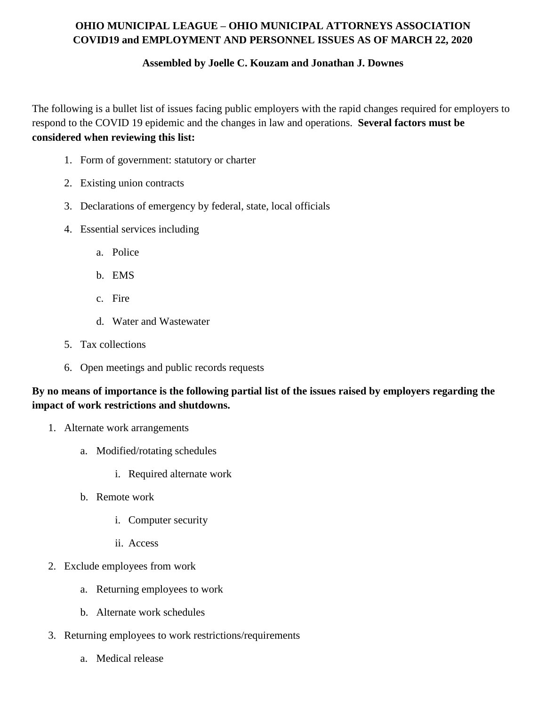## **OHIO MUNICIPAL LEAGUE – OHIO MUNICIPAL ATTORNEYS ASSOCIATION COVID19 and EMPLOYMENT AND PERSONNEL ISSUES AS OF MARCH 22, 2020**

## **Assembled by Joelle C. Kouzam and Jonathan J. Downes**

The following is a bullet list of issues facing public employers with the rapid changes required for employers to respond to the COVID 19 epidemic and the changes in law and operations. **Several factors must be considered when reviewing this list:**

- 1. Form of government: statutory or charter
- 2. Existing union contracts
- 3. Declarations of emergency by federal, state, local officials
- 4. Essential services including
	- a. Police
	- b. EMS
	- c. Fire
	- d. Water and Wastewater
- 5. Tax collections
- 6. Open meetings and public records requests

## By no means of importance is the following partial list of the issues raised by employers regarding the **impact of work restrictions and shutdowns.**

- 1. Alternate work arrangements
	- a. Modified/rotating schedules
		- i. Required alternate work
	- b. Remote work
		- i. Computer security
		- ii. Access
- 2. Exclude employees from work
	- a. Returning employees to work
	- b. Alternate work schedules
- 3. Returning employees to work restrictions/requirements
	- a. Medical release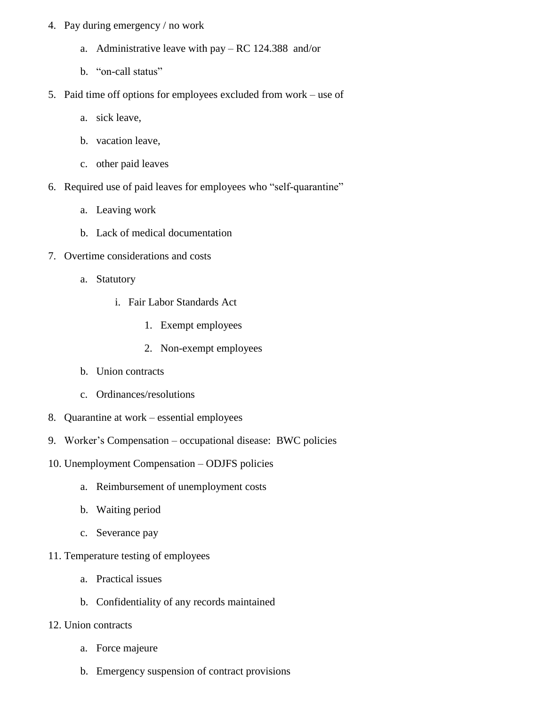- 4. Pay during emergency / no work
	- a. Administrative leave with pay RC 124.388 and/or
	- b. "on-call status"
- 5. Paid time off options for employees excluded from work use of
	- a. sick leave,
	- b. vacation leave,
	- c. other paid leaves
- 6. Required use of paid leaves for employees who "self-quarantine"
	- a. Leaving work
	- b. Lack of medical documentation
- 7. Overtime considerations and costs
	- a. Statutory
		- i. Fair Labor Standards Act
			- 1. Exempt employees
			- 2. Non-exempt employees
	- b. Union contracts
	- c. Ordinances/resolutions
- 8. Quarantine at work essential employees
- 9. Worker's Compensation occupational disease: BWC policies
- 10. Unemployment Compensation ODJFS policies
	- a. Reimbursement of unemployment costs
	- b. Waiting period
	- c. Severance pay
- 11. Temperature testing of employees
	- a. Practical issues
	- b. Confidentiality of any records maintained
- 12. Union contracts
	- a. Force majeure
	- b. Emergency suspension of contract provisions